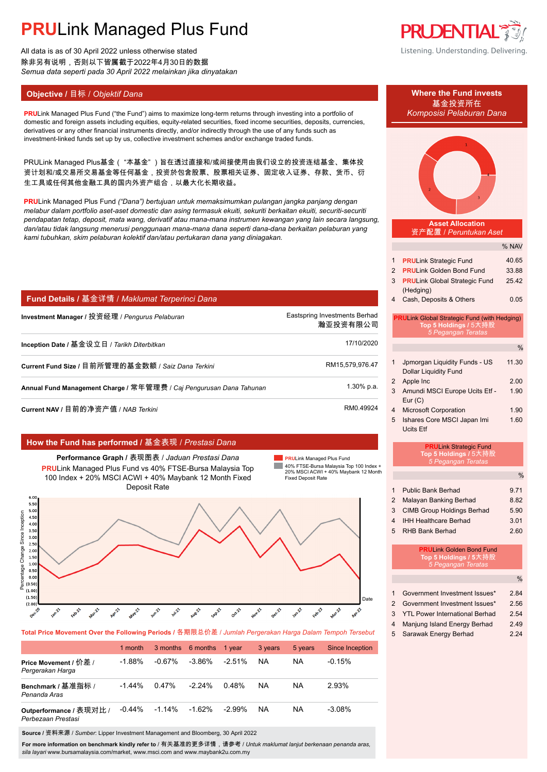All data is as of 30 April 2022 unless otherwise stated 除非另有说明,否则以下皆属截于2022年4月30日的数据 *Semua data seperti pada 30 April 2022 melainkan jika dinyatakan*

### **Objective / 目标 /** *Objektif Dana* **<b>Where the Fund invests Where the Fund invests**

**PRULink Managed Plus Fund ("the Fund") aims to maximize long-term returns through investing into a portfolio of** domestic and foreign assets including equities, equity-related securities, fixed income securities, deposits, currencies, derivatives or any other financial instruments directly, and/or indirectly through the use of any funds such as investment-linked funds set up by us, collective investment schemes and/or exchange traded funds.

PRULink Managed Plus基金("本基金")旨在透过直接和/或间接使用由我们设立的投资连结基金、集体投 资计划和/或交易所交易基金等任何基金,投资於包含股票、股票相关证券、固定收入证券、存款、货币、衍 生工具或任何其他金融工具的国内外资产组合,以最大化长期收益。

**PRU**Link Managed Plus Fund *("Dana") bertujuan untuk memaksimumkan pulangan jangka panjang dengan melabur dalam portfolio aset-aset domestic dan asing termasuk ekuiti, sekuriti berkaitan ekuiti, securiti-securiti pendapatan tetap, deposit, mata wang, derivatif atau mana-mana instrumen kewangan yang lain secara langsung, dan/atau tidak langsung menerusi penggunaan mana-mana dana seperti dana-dana berkaitan pelaburan yang kami tubuhkan, skim pelaburan kolektif dan/atau pertukaran dana yang diniagakan.*

### **Fund Details /** 基金详情 / *Maklumat Terperinci Dana*

| Investment Manager / 投资经理 / <i>Penqurus Pelaburan</i>               | Eastspring Investments Berhad<br>瀚亚投资有限公司 |
|---------------------------------------------------------------------|-------------------------------------------|
| Inception Date / 基金设立日 / Tarikh Diterbitkan                         | 17/10/2020                                |
| Current Fund Size / 目前所管理的基金数额 / Saiz Dana Terkini                  | RM15,579,976.47                           |
| Annual Fund Management Charge / 常年管理费 / Caj Pengurusan Dana Tahunan | 1.30% p.a.                                |
| Current NAV / 目前的净资产值 / NAB <i>Terkini</i>                          | RM0.49924                                 |

### **How the Fund has performed /** 基金表现 / *Prestasi Dana*



**PRU**Link Managed Plus Fund **The State** 

40% FTSE-Bursa Malaysia Top 100 Index + 20% MSCI ACWI + 40% Maybank 12 Month Fixed Deposit Rate



|                                               | 1 month   |           | 3 months 6 months | 1 year    | 3 years   | 5 years | Since Inception |
|-----------------------------------------------|-----------|-----------|-------------------|-----------|-----------|---------|-----------------|
| Price Movement / 价差 /<br>Pergerakan Harga     | $-1.88\%$ | -0.67%    | $-3.86\%$         | $-2.51\%$ | <b>NA</b> | NA      | $-0.15%$        |
| Benchmark / 基准指标 /<br>Penanda Aras            | $-1.44%$  | 0.47%     | $-2.24\%$         | 0.48%     | <b>NA</b> | NA      | 2.93%           |
| Outperformance / 表现对比 /<br>Perbezaan Prestasi | $-0.44\%$ | $-1.14\%$ | $-1.62%$          | $-2.99\%$ | <b>NA</b> | NA      | $-3.08%$        |

**Source /** 资料来源 / *Sumber*: Lipper Investment Management and Bloomberg, 30 April 2022

**For more information on benchmark kindly refer to** / 有关基准的更多详情,请参考 / *Untuk maklumat lanjut berkenaan penanda aras, sila layari* www.bursamalaysia.com/market, www.msci.com and www.maybank2u.com.my





| 1                                                                                                  | <b>PRULink Strategic Fund</b>        | 40.65 |  |
|----------------------------------------------------------------------------------------------------|--------------------------------------|-------|--|
| 2                                                                                                  | <b>PRUL</b> ink Golden Bond Fund     | 33.88 |  |
| 3                                                                                                  | <b>PRULink Global Strategic Fund</b> | 2542  |  |
|                                                                                                    | (Hedging)                            |       |  |
| 4                                                                                                  | Cash, Deposits & Others              | 0.05  |  |
| <b>PRULink Global Strategic Fund (with Hedging)</b><br>Top 5 Holdings / 5大持股<br>5 Pegangan Teratas |                                      |       |  |
|                                                                                                    |                                      |       |  |
|                                                                                                    |                                      |       |  |

| 1 | Jpmorgan Liquidity Funds - US  | 11.30 |
|---|--------------------------------|-------|
|   |                                |       |
|   | <b>Dollar Liquidity Fund</b>   |       |
| 2 | Apple Inc                      | 2.00  |
| 3 | Amundi MSCI Europe Ucits Etf - | 1.90  |
|   | Eur(C)                         |       |
| 4 | <b>Microsoft Corporation</b>   | 1.90  |
| 5 | Ishares Core MSCI Japan Imi    | 1.60  |

Ucits Etf

### **PRU**Link Strategic Fund **Top 5 Holdings /** 5大持股 *5 Pegangan Teratas*

| $\mathbf 1$<br>$\overline{2}$<br>3<br>4<br>5 | Public Bank Berhad<br>Malayan Banking Berhad<br><b>CIMB Group Holdings Berhad</b><br><b>IHH Healthcare Berhad</b><br><b>RHB Bank Berhad</b> | 9.71<br>8.82<br>5.90<br>3.01<br>2.60 |
|----------------------------------------------|---------------------------------------------------------------------------------------------------------------------------------------------|--------------------------------------|
|                                              | <b>PRUI</b> ink Golden Bond Fund<br>Top 5 Holdings / 5大持股<br>5 Pegangan Teratas                                                             |                                      |
|                                              |                                                                                                                                             |                                      |

| Government Investment Issues*    | 2.84 |
|----------------------------------|------|
| 2 Government Investment Issues*  | 2.56 |
| 3 YTL Power International Berhad | 2.54 |
| Moniung Joland Energy Perhad     | 2.40 |

าjung Island Energy 5 Sarawak Energy Berhad 2.24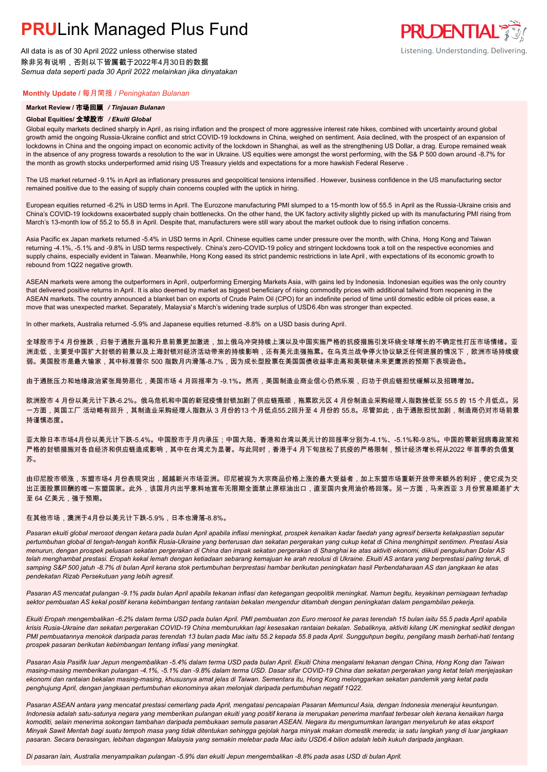All data is as of 30 April 2022 unless otherwise stated 除非另有说明,否则以下皆属截于2022年4月30日的数据 *Semua data seperti pada 30 April 2022 melainkan jika dinyatakan*

### **Monthly Update /** 每月简报 / *Peningkatan Bulanan*

#### **Market Review /** 市场回顾 */ Tinjauan Bulanan*

#### **Global Equities/** 全球股市 */ Ekuiti Global*

Global equity markets declined sharply in April, as rising inflation and the prospect of more aggressive interest rate hikes, combined with uncertainty around global growth amid the ongoing Russia-Ukraine conflict and strict COVID-19 lockdowns in China, weighed on sentiment. Asia declined, with the prospect of an expansion of lockdowns in China and the ongoing impact on economic activity of the lockdown in Shanghai, as well as the strengthening US Dollar, a drag. Europe remained weak in the absence of any progress towards a resolution to the war in Ukraine. US equities were amongst the worst performing, with the S& P 500 down around -8.7% for the month as growth stocks underperformed amid rising US Treasury yields and expectations for a more hawkish Federal Reserve .

The US market returned -9.1% in April as inflationary pressures and geopolitical tensions intensified . However, business confidence in the US manufacturing sector remained positive due to the easing of supply chain concerns coupled with the uptick in hiring.

European equities returned -6.2% in USD terms in April. The Eurozone manufacturing PMI slumped to a 15-month low of 55.5 in April as the Russia-Ukraine crisis and China's COVID-19 lockdowns exacerbated supply chain bottlenecks. On the other hand, the UK factory activity slightly picked up with its manufacturing PMI rising from March's 13-month low of 55.2 to 55.8 in April. Despite that, manufacturers were still wary about the market outlook due to rising inflation concerns.

Asia Pacific ex Japan markets returned -5.4% in USD terms in April. Chinese equities came under pressure over the month, with China, Hong Kong and Taiwan returning -4.1%, -5.1% and -9.8% in USD terms respectively. China's zero-COVID-19 policy and stringent lockdowns took a toll on the respective economies and supply chains, especially evident in Taiwan. Meanwhile, Hong Kong eased its strict pandemic restrictions in late April , with expectations of its economic growth to rebound from 1Q22 negative growth.

ASEAN markets were among the outperformers in April, outperforming Emerging Markets Asia, with gains led by Indonesia. Indonesian equities was the only country that delivered positive returns in April. It is also deemed by market as biggest beneficiary of rising commodity prices with additional tailwind from reopening in the ASEAN markets. The country announced a blanket ban on exports of Crude Palm Oil (CPO) for an indefinite period of time until domestic edible oil prices ease, a move that was unexpected market. Separately, Malaysia's March's widening trade surplus of USD6.4bn was stronger than expected.

In other markets, Australia returned -5.9% and Japanese equities returned -8.8% on a USD basis during April.

全球股市于4 月份挫跌,归咎于通胀升温和升息前景更加激进,加上俄乌冲突持续上演以及中国实施严格的抗疫措施引发环绕全球增长的不确定性打压市场情绪。亚 洲走低,主要受中国扩大封锁的前景以及上海封锁对经济活动带来的持续影响,还有美元走强拖累。在乌克兰战争停火协议缺乏任何进展的情况下,欧洲市场持续疲 弱。美国股市是最大输家,其中标准普尔 500 指数月内滑落-8.7%,因为成长型股票在美国国债收益率走高和美联储未来更鹰派的预期下表现逊色。

由于通胀压力和地缘政治紧张局势恶化,美国市场 4 月回报率为 -9.1%。然而,美国制造业商业信心仍然乐观,归功于供应链担忧缓解以及招聘增加。

欧洲股市 4 月份以美元计下跌-6.2%。俄乌危机和中国的新冠疫情封锁加剧了供应链瓶颈,拖累欧元区 4 月份制造业采购经理人指数挫低至 55.5 的 15 个月低点。另 一方面,英国工厂 活动略有回升,其制造业采购经理人指数从 3 月份的13 个月低点55.2回升至 4 月份的 55.8。尽管如此,由于通胀担忧加剧,制造商仍对市场前景 持谨慎态度。

亚太除日本市场4月份以美元计下跌-5.4%。中国股市于月内承压;中国大陆、香港和台湾以美元计的回报率分别为-4.1%、-5.1%和-9.8%。中国的零新冠病毒政策和 严格的封锁措施对各自经济和供应链造成影响,其中在台湾尤为显著。与此同时,香港于4 月下旬放松了抗疫的严格限制,预计经济增长将从2022 年首季的负值复 苏。

由印尼股市领涨,东盟市场4 月份表现突出,超越新兴市场亚洲。印尼被视为大宗商品价格上涨的最大受益者,加上东盟市场重新开放带来额外的利好,使它成为交 出正面股票回酬的唯一东盟国家。此外,该国月内出乎意料地宣布无限期全面禁止原棕油出口,直至国内食用油价格回落。另一方面,马来西亚 3 月份贸易顺差扩大 至 64 亿美元,强于预期。

#### 在其他市场,澳洲于4月份以美元计下跌-5.9%,日本也滑落-8.8%。

*Pasaran ekuiti global merosot dengan ketara pada bulan April apabila inflasi meningkat, prospek kenaikan kadar faedah yang agresif berserta ketakpastian seputar pertumbuhan global di tengah-tengah konflik Rusia-Ukraine yang berterusan dan sekatan pergerakan yang cukup ketat di China menghimpit sentimen. Prestasi Asia menurun, dengan prospek peluasan sekatan pergerakan di China dan impak sekatan pergerakan di Shanghai ke atas aktiviti ekonomi, diikuti pengukuhan Dolar AS telah menghambat prestasi. Eropah kekal lemah dengan ketiadaan sebarang kemajuan ke arah resolusi di Ukraine. Ekuiti AS antara yang berprestasi paling teruk, di samping S&P 500 jatuh -8.7% di bulan April kerana stok pertumbuhan berprestasi hambar berikutan peningkatan hasil Perbendaharaan AS dan jangkaan ke atas pendekatan Rizab Persekutuan yang lebih agresif.*

*Pasaran AS mencatat pulangan -9.1% pada bulan April apabila tekanan inflasi dan ketegangan geopolitik meningkat. Namun begitu, keyakinan perniagaan terhadap sektor pembuatan AS kekal positif kerana kebimbangan tentang rantaian bekalan mengendur ditambah dengan peningkatan dalam pengambilan pekerja.*

*Ekuiti Eropah mengembalikan -6.2% dalam terma USD pada bulan April. PMI pembuatan zon Euro merosot ke paras terendah 15 bulan iaitu 55.5 pada April apabila krisis Rusia-Ukraine dan sekatan pergerakan COVID-19 China memburukkan lagi kesesakan rantaian bekalan. Sebaliknya, aktiviti kilang UK meningkat sedikit dengan PMI pembuatannya menokok daripada paras terendah 13 bulan pada Mac iaitu 55.2 kepada 55.8 pada April. Sungguhpun begitu, pengilang masih berhati-hati tentang prospek pasaran berikutan kebimbangan tentang inflasi yang meningkat.*

*Pasaran Asia Pasifik luar Jepun mengembalikan -5.4% dalam terma USD pada bulan April. Ekuiti China mengalami tekanan dengan China, Hong Kong dan Taiwan masing-masing memberikan pulangan -4.1%, -5.1% dan -9.8% dalam terma USD. Dasar sifar COVID-19 China dan sekatan pergerakan yang ketat telah menjejaskan ekonomi dan rantaian bekalan masing-masing, khususnya amat jelas di Taiwan. Sementara itu, Hong Kong melonggarkan sekatan pandemik yang ketat pada penghujung April, dengan jangkaan pertumbuhan ekonominya akan melonjak daripada pertumbuhan negatif 1Q22.*

*Pasaran ASEAN antara yang mencatat prestasi cemerlang pada April, mengatasi pencapaian Pasaran Memuncul Asia, dengan Indonesia menerajui keuntungan. Indonesia adalah satu-satunya negara yang memberikan pulangan ekuiti yang positif kerana ia merupakan penerima manfaat terbesar oleh kerana kenaikan harga komoditi, selain menerima sokongan tambahan daripada pembukaan semula pasaran ASEAN. Negara itu mengumumkan larangan menyeluruh ke atas eksport Minyak Sawit Mentah bagi suatu tempoh masa yang tidak ditentukan sehingga gejolak harga minyak makan domestik mereda; ia satu langkah yang di luar jangkaan pasaran. Secara berasingan, lebihan dagangan Malaysia yang semakin melebar pada Mac iaitu USD6.4 bilion adalah lebih kukuh daripada jangkaan.*

*Di pasaran lain, Australia menyampaikan pulangan -5.9% dan ekuiti Jepun mengembalikan -8.8% pada asas USD di bulan April.*

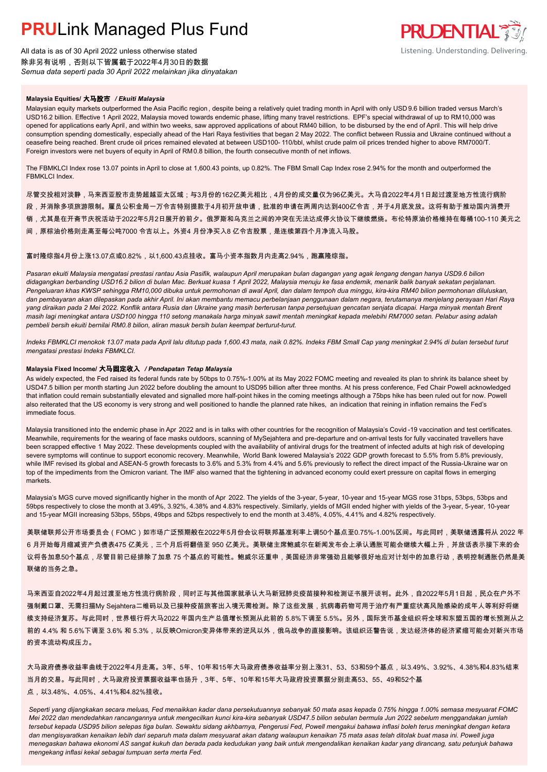All data is as of 30 April 2022 unless otherwise stated 除非另有说明,否则以下皆属截于2022年4月30日的数据 *Semua data seperti pada 30 April 2022 melainkan jika dinyatakan*



### **Malaysia Equities/** 大马股市 */ Ekuiti Malaysia*

Malaysian equity markets outperformed the Asia Pacific region , despite being a relatively quiet trading month in April with only USD 9.6 billion traded versus March's USD16.2 billion. Effective 1 April 2022, Malaysia moved towards endemic phase, lifting many travel restrictions. EPF's special withdrawal of up to RM10,000 was opened for applications early April, and within two weeks, saw approved applications of about RM40 billion, to be disbursed by the end of April. This will help drive consumption spending domestically, especially ahead of the Hari Raya festivities that began 2 May 2022. The conflict between Russia and Ukraine continued without a ceasefire being reached. Brent crude oil prices remained elevated at between USD100- 110/bbl, whilst crude palm oil prices trended higher to above RM7000/T. Foreign investors were net buyers of equity in April of RM0.8 billion, the fourth consecutive month of net inflows.

The FBMKLCI Index rose 13.07 points in April to close at 1,600.43 points, up 0.82%. The FBM Small Cap Index rose 2.94% for the month and outperformed the FRMKLCI Index

尽管交投相对淡静,马来西亚股市走势超越亚太区域;与3月份的162亿美元相比,4月份的成交量仅为96亿美元。大马自2022年4月1日起过渡至地方性流行病阶 段,并消除多项旅游限制。雇员公积金局一万令吉特别提款于4月初开放申请,批准的申请在两周内达到400亿令吉,并于4月底发放。这将有助于推动国内消费开

销,尤其是在开斋节庆祝活动于2022年5月2日展开的前夕。俄罗斯和乌克兰之间的冲突在无法达成停火协议下继续燃烧。布伦特原油价格维持在每桶100-110 美元之

间,原棕油价格则走高至每公吨7000 令吉以上。外资4 月份净买入8 亿令吉股票,是连续第四个月净流入马股。

富时隆综指4月份上涨13.07点或0.82%,以1,600.43点挂收。富马小资本指数月内走高2.94%,跑赢隆综指。

*Pasaran ekuiti Malaysia mengatasi prestasi rantau Asia Pasifik, walaupun April merupakan bulan dagangan yang agak lengang dengan hanya USD9.6 bilion didagangkan berbanding USD16.2 bilion di bulan Mac. Berkuat kuasa 1 April 2022, Malaysia menuju ke fasa endemik, menarik balik banyak sekatan perjalanan.*  Pengeluaran khas KWSP sehingga RM10,000 dibuka untuk permohonan di awal April, dan dalam tempoh dua minggu, kira-kira RM40 bilion permohonan diluluskan, *dan pembayaran akan dilepaskan pada akhir April. Ini akan membantu memacu perbelanjaan penggunaan dalam negara, terutamanya menjelang perayaan Hari Raya yang diraikan pada 2 Mei 2022. Konflik antara Rusia dan Ukraine yang masih berterusan tanpa persetujuan gencatan senjata dicapai. Harga minyak mentah Brent masih lagi meningkat antara USD100 hingga 110 setong manakala harga minyak sawit mentah meningkat kepada melebihi RM7000 setan. Pelabur asing adalah pembeli bersih ekuiti bernilai RM0.8 bilion, aliran masuk bersih bulan keempat berturut-turut.*

*Indeks FBMKLCI menokok 13.07 mata pada April lalu ditutup pada 1,600.43 mata, naik 0.82%. Indeks FBM Small Cap yang meningkat 2.94% di bulan tersebut turut mengatasi prestasi Indeks FBMKLCI.*

### **Malaysia Fixed Income/** 大马固定收入 */ Pendapatan Tetap Malaysia*

As widely expected, the Fed raised its federal funds rate by 50bps to 0.75%-1.00% at its May 2022 FOMC meeting and revealed its plan to shrink its balance sheet by USD47.5 billion per month starting Jun 2022 before doubling the amount to USD95 billion after three months. At his press conference, Fed Chair Powell acknowledged that inflation could remain substantially elevated and signalled more half-point hikes in the coming meetings although a 75bps hike has been ruled out for now. Powell also reiterated that the US economy is very strong and well positioned to handle the planned rate hikes, an indication that reining in inflation remains the Fed's immediate focus.

Malaysia transitioned into the endemic phase in Apr 2022 and is in talks with other countries for the recognition of Malaysia's Covid -19 vaccination and test certificates. Meanwhile, requirements for the wearing of face masks outdoors, scanning of MySejahtera and pre-departure and on-arrival tests for fully vaccinated travellers have been scrapped effective 1 May 2022. These developments coupled with the availability of antiviral drugs for the treatment of infected adults at high risk of developing severe symptoms will continue to support economic recovery. Meanwhile, World Bank lowered Malaysia's 2022 GDP growth forecast to 5.5% from 5.8% previously, while IMF revised its global and ASEAN-5 growth forecasts to 3.6% and 5.3% from 4.4% and 5.6% previously to reflect the direct impact of the Russia-Ukraine war on top of the impediments from the Omicron variant. The IMF also warned that the tightening in advanced economy could exert pressure on capital flows in emerging markets.

Malaysia's MGS curve moved significantly higher in the month of Apr 2022. The yields of the 3-year, 5-year, 10-year and 15-year MGS rose 31bps, 53bps, 53bps and 59bps respectively to close the month at 3.49%, 3.92%, 4.38% and 4.83% respectively. Similarly, yields of MGII ended higher with yields of the 3-year, 5-year, 10-year and 15-year MGII increasing 53bps, 55bps, 49bps and 52bps respectively to end the month at 3.48%, 4.05%, 4.41% and 4.82% respectively.

美联储联邦公开市场委员会(FOMC)如市场广泛预期般在2022年5月份会议将联邦基准利率上调50个基点至0.75%-1.00%区间。与此同时,美联储透露将从 2022 年 6 月开始每月缩减资产负债表475 亿美元,三个月后将翻倍至 950 亿美元。美联储主席鲍威尔在新闻发布会上承认通胀可能会继续大幅上升,并放话表示接下来的会 议将各加息50个基点,尽管目前已经排除了加息 75 个基点的可能性。鲍威尔还重申,美国经济非常强劲且能够很好地应对计划中的加息行动,表明控制通胀仍然是美 联储的当务之急。

马来西亚自2022年4月起过渡至地方性流行病阶段,同时正与其他国家就承认大马新冠肺炎疫苗接种和检测证书展开谈判。此外,自2022年5月1日起,民众在户外不 强制戴口罩、无需扫描My Sejahtera二维码以及已接种疫苗旅客出入境无需检测。除了这些发展,抗病毒药物可用于治疗有严重症状高风险感染的成年人等利好将继 续支持经济复苏。与此同时,世界银行将大马2022 年国内生产总值增长预测从此前的 5.8%下调至 5.5%。另外,国际货币基金组织将全球和东盟五国的增长预测从之 前的 4.4% 和 5.6%下调至 3.6% 和 5.3%,以反映Omicron变异体带来的逆风以外,俄乌战争的直接影响。该组织还警告说,发达经济体的经济紧缩可能会对新兴市场 的资本流动构成压力。

大马政府债券收益率曲线于2022年4月走高。3年、5年、10年和15年大马政府债券收益率分别上涨31、53、53和59个基点,以3.49%、3.92%、4.38%和4.83%结束 当月的交易。与此同时,大马政府投资票据收益率也扬升,3年、5年、10年和15年大马政府投资票据分别走高53、55、49和52个基 点,以3.48%、4.05%、4.41%和4.82%挂收。

*Seperti yang dijangkakan secara meluas, Fed menaikkan kadar dana persekutuannya sebanyak 50 mata asas kepada 0.75% hingga 1.00% semasa mesyuarat FOMC Mei 2022 dan mendedahkan rancangannya untuk mengecilkan kunci kira-kira sebanyak USD47.5 bilion sebulan bermula Jun 2022 sebelum menggandakan jumlah tersebut kepada USD95 bilion selepas tiga bulan. Sewaktu sidang akhbarnya, Pengerusi Fed, Powell mengakui bahawa inflasi boleh terus meningkat dengan ketara dan mengisyaratkan kenaikan lebih dari separuh mata dalam mesyuarat akan datang walaupun kenaikan 75 mata asas telah ditolak buat masa ini. Powell juga menegaskan bahawa ekonomi AS sangat kukuh dan berada pada kedudukan yang baik untuk mengendalikan kenaikan kadar yang dirancang, satu petunjuk bahawa mengekang inflasi kekal sebagai tumpuan serta merta Fed.*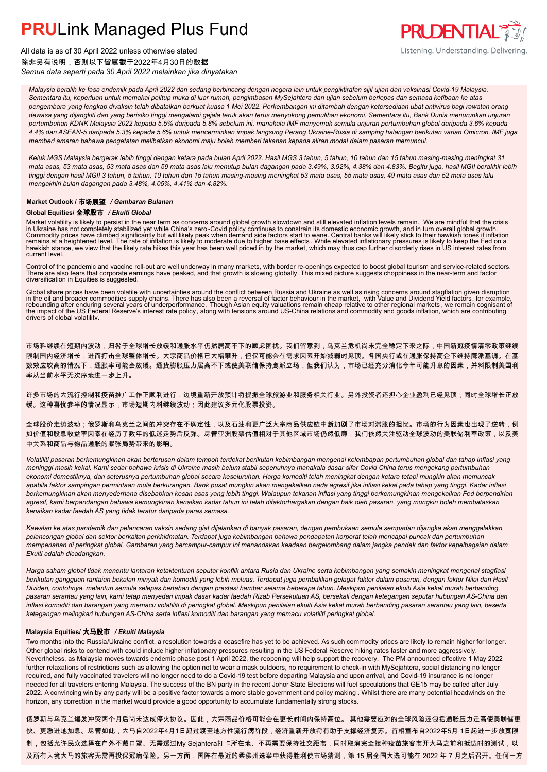

All data is as of 30 April 2022 unless otherwise stated 除非另有说明,否则以下皆属截于2022年4月30日的数据 *Semua data seperti pada 30 April 2022 melainkan jika dinyatakan*

*Malaysia beralih ke fasa endemik pada April 2022 dan sedang berbincang dengan negara lain untuk pengiktirafan sijil ujian dan vaksinasi Covid-19 Malaysia. Sementara itu, keperluan untuk memakai pelitup muka di luar rumah, pengimbasan MySejahtera dan ujian sebelum berlepas dan semasa ketibaan ke atas pengembara yang lengkap divaksin telah dibatalkan berkuat kuasa 1 Mei 2022. Perkembangan ini ditambah dengan ketersediaan ubat antivirus bagi rawatan orang dewasa yang dijangkiti dan yang berisiko tinggi mengalami gejala teruk akan terus menyokong pemulihan ekonomi. Sementara itu, Bank Dunia menurunkan unjuran pertumbuhan KDNK Malaysia 2022 kepada 5.5% daripada 5.8% sebelum ini, manakala IMF menyemak semula unjuran pertumbuhan global daripada 3.6% kepada 4.4% dan ASEAN-5 daripada 5.3% kepada 5.6% untuk mencerminkan impak langsung Perang Ukraine-Rusia di samping halangan berikutan varian Omicron. IMF juga memberi amaran bahawa pengetatan melibatkan ekonomi maju boleh memberi tekanan kepada aliran modal dalam pasaran memuncul.*

*Keluk MGS Malaysia bergerak lebih tinggi dengan ketara pada bulan April 2022. Hasil MGS 3 tahun, 5 tahun, 10 tahun dan 15 tahun masing-masing meningkat 31 mata asas, 53 mata asas, 53 mata asas dan 59 mata asas lalu menutup bulan dagangan pada 3.49%, 3.92%, 4.38% dan 4.83%. Begitu juga, hasil MGII berakhir lebih tinggi dengan hasil MGII 3 tahun, 5 tahun, 10 tahun dan 15 tahun masing-masing meningkat 53 mata asas, 55 mata asas, 49 mata asas dan 52 mata asas lalu mengakhiri bulan dagangan pada 3.48%, 4.05%, 4.41% dan 4.82%.*

### **Market Outlook /** 市场展望 */ Gambaran Bulanan*

### **Global Equities/** 全球股市 */ Ekuiti Global*

Market volatility is likely to persist in the near term as concerns around global growth slowdown and still elevated inflation levels remain. We are mindful that the crisis<br>in Ukraine has not completely stabilized yet whi hawkish stance, we view that the likely rate hikes this year has been well priced in by the market, which may thus cap further disorderly rises in US interest rates from current level.

Control of the pandemic and vaccine roll-out are well underway in many markets, with border re-openings expected to boost global tourism and service-related sectors.<br>There are also fears that corporate earnings have peaked diversification in Equities is suggested.

Global share prices have been volatile with uncertainties around the conflict between Russia and Ukraine as well as rising concerns around stagflation given disruption<br>in the oil and broader commodities supply chains. Ther drivers of global volatility.

市场料继续在短期内波动,归咎于全球增长放缓和通胀水平仍然居高不下的顾虑困扰。我们留意到,乌克兰危机尚未完全稳定下来之际,中国新冠疫情清零政策继续 限制国内经济增长,进而打击全球整体增长。大宗商品价格已大幅攀升,但仅可能会在需求因素开始减弱时见顶。各国央行或在通胀保持高企下维持鹰派基调。在基 数效应较高的情况下,通胀率可能会放缓。通货膨胀压力居高不下或使美联储保持鹰派立场,但我们认为,市场已经充分消化今年可能升息的因素,并料限制美国利 率从当前水平无次序地进一步上升。

许多市场的大流行控制和疫苗推广工作正顺利进行,边境重新开放预计将提振全球旅游业和服务相关行业。另外投资者还担心企业盈利已经见顶,同时全球增长正放 缓。这种喜忧参半的情况显示,市场短期内料继续波动;因此建议多元化股票投资。

全球股价走势波动;俄罗斯和乌克兰之间的冲突存在不确定性,以及石油和更广泛大宗商品供应链中断加剧了市场对滞胀的担忧。市场的行为因素也出现了逆转,例 如价值和股息收益率因素在经历了数年的低迷走势后反弹。尽管亚洲股票估值相对于其他区域市场仍然低廉,我们依然关注驱动全球波动的美联储利率政策,以及美 中关系和商品与物品通胀的紧张局势带来的影响。

*Volatiliti pasaran berkemungkinan akan berterusan dalam tempoh terdekat berikutan kebimbangan mengenai kelembapan pertumbuhan global dan tahap inflasi yang meninggi masih kekal. Kami sedar bahawa krisis di Ukraine masih belum stabil sepenuhnya manakala dasar sifar Covid China terus mengekang pertumbuhan ekonomi domestiknya, dan seterusnya pertumbuhan global secara keseluruhan. Harga komoditi telah meningkat dengan ketara tetapi mungkin akan memuncak apabila faktor sampingan permintaan mula berkurangan. Bank pusat mungkin akan mengekalkan nada agresif jika inflasi kekal pada tahap yang tinggi. Kadar inflasi berkemungkinan akan menyederhana disebabkan kesan asas yang lebih tinggi. Walaupun tekanan inflasi yang tinggi berkemungkinan mengekalkan Fed berpendirian agresif, kami berpandangan bahawa kemungkinan kenaikan kadar tahun ini telah difaktorhargakan dengan baik oleh pasaran, yang mungkin boleh membataskan kenaikan kadar faedah AS yang tidak teratur daripada paras semasa.*

*Kawalan ke atas pandemik dan pelancaran vaksin sedang giat dijalankan di banyak pasaran, dengan pembukaan semula sempadan dijangka akan menggalakkan pelancongan global dan sektor berkaitan perkhidmatan. Terdapat juga kebimbangan bahawa pendapatan korporat telah mencapai puncak dan pertumbuhan memperlahan di peringkat global. Gambaran yang bercampur-campur ini menandakan keadaan bergelombang dalam jangka pendek dan faktor kepelbagaian dalam Ekuiti adalah dicadangkan.*

*Harga saham global tidak menentu lantaran ketaktentuan seputar konflik antara Rusia dan Ukraine serta kebimbangan yang semakin meningkat mengenai stagflasi berikutan gangguan rantaian bekalan minyak dan komoditi yang lebih meluas. Terdapat juga pembalikan gelagat faktor dalam pasaran, dengan faktor Nilai dan Hasil Dividen, contohnya, melantun semula selepas bertahan dengan prestasi hambar selama beberapa tahun. Meskipun penilaian ekuiti Asia kekal murah berbanding pasaran serantau yang lain, kami tetap menyedari impak dasar kadar faedah Rizab Persekutuan AS, bersekali dengan ketegangan seputar hubungan AS-China dan inflasi komoditi dan barangan yang memacu volatiliti di peringkat global. Meskipun penilaian ekuiti Asia kekal murah berbanding pasaran serantau yang lain, beserta ketegangan melingkari hubungan AS-China serta inflasi komoditi dan barangan yang memacu volatiliti peringkat global.*

### **Malaysia Equities/** 大马股市 */ Ekuiti Malaysia*

Two months into the Russia/Ukraine conflict, a resolution towards a ceasefire has yet to be achieved. As such commodity prices are likely to remain higher for longer. Other global risks to contend with could include higher inflationary pressures resulting in the US Federal Reserve hiking rates faster and more aggressively. Nevertheless, as Malaysia moves towards endemic phase post 1 April 2022, the reopening will help support the recovery. The PM announced effective 1 May 2022 further relaxations of restrictions such as allowing the option not to wear a mask outdoors, no requirement to check-in with MySejahtera, social distancing no longer required, and fully vaccinated travelers will no longer need to do a Covid-19 test before departing Malaysia and upon arrival, and Covid-19 insurance is no longer needed for all travelers entering Malaysia. The success of the BN party in the recent Johor State Elections will fuel speculations that GE15 may be called after July 2022. A convincing win by any party will be a positive factor towards a more stable government and policy making . Whilst there are many potential headwinds on the horizon, any correction in the market would provide a good opportunity to accumulate fundamentally strong stocks.

俄罗斯与乌克兰爆发冲突两个月后尚未达成停火协议。因此,大宗商品价格可能会在更长时间内保持高位。 其他需要应对的全球风险还包括通胀压力走高使美联储更 快、更激进地加息。尽管如此,大马自2022年4月1日起过渡至地方性流行病阶段,经济重新开放将有助于支撑经济复苏。首相宣布自2022年5月 1日起进一步放宽限 制,包括允许民众选择在户外不戴口罩、无需透过My Sejahtera打卡所在地、不再需要保持社交距离,同时取消完全接种疫苗旅客离开大马之前和抵达时的测试,以 及所有入境大马的旅客无需再投保冠病保险。另一方面,国阵在最近的柔佛州选举中获得胜利使市场猜测,第 15 届全国大选可能在 2022 年 7 月之后召开。任何一方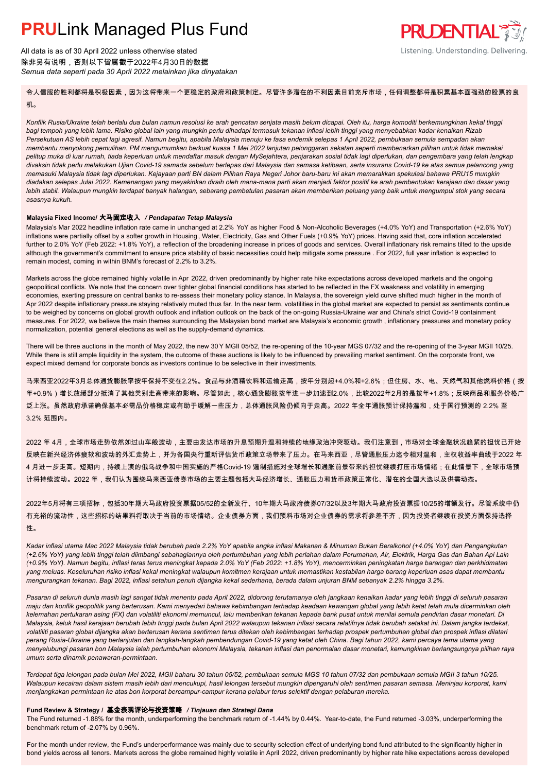All data is as of 30 April 2022 unless otherwise stated 除非另有说明,否则以下皆属截于2022年4月30日的数据 *Semua data seperti pada 30 April 2022 melainkan jika dinyatakan*

### **PRUDENTIAL** Listening. Understanding. Delivering.

令人信服的胜利都将是积极因素,因为这将带来一个更稳定的政府和政策制定。尽管许多潜在的不利因素目前充斥市场,任何调整都将是积累基本面强劲的股票的良 机。

*Konflik Rusia/Ukraine telah berlalu dua bulan namun resolusi ke arah gencatan senjata masih belum dicapai. Oleh itu, harga komoditi berkemungkinan kekal tinggi bagi tempoh yang lebih lama. Risiko global lain yang mungkin perlu dihadapi termasuk tekanan inflasi lebih tinggi yang menyebabkan kadar kenaikan Rizab Persekutuan AS lebih cepat lagi agresif. Namun begitu, apabila Malaysia menuju ke fasa endemik selepas 1 April 2022, pembukaan semula sempadan akan membantu menyokong pemulihan. PM mengumumkan berkuat kuasa 1 Mei 2022 lanjutan pelonggaran sekatan seperti membenarkan pilihan untuk tidak memakai pelitup muka di luar rumah, tiada keperluan untuk mendaftar masuk dengan MySejahtera, penjarakan sosial tidak lagi diperlukan, dan pengembara yang telah lengkap divaksin tidak perlu melakukan Ujian Covid-19 samada sebelum berlepas dari Malaysia dan semasa ketibaan, serta insurans Covid-19 ke atas semua pelancong yang memasuki Malaysia tidak lagi diperlukan. Kejayaan parti BN dalam Pilihan Raya Negeri Johor baru-baru ini akan memarakkan spekulasi bahawa PRU15 mungkin diadakan selepas Julai 2022. Kemenangan yang meyakinkan diraih oleh mana-mana parti akan menjadi faktor positif ke arah pembentukan kerajaan dan dasar yang lebih stabil. Walaupun mungkin terdapat banyak halangan, sebarang pembetulan pasaran akan memberikan peluang yang baik untuk mengumpul stok yang secara asasnya kukuh.*

### **Malaysia Fixed Income/** 大马固定收入 */ Pendapatan Tetap Malaysia*

Malaysia's Mar 2022 headline inflation rate came in unchanged at 2.2% YoY as higher Food & Non-Alcoholic Beverages (+4.0% YoY) and Transportation (+2.6% YoY) inflations were partially offset by a softer growth in Housing , Water, Electricity, Gas and Other Fuels (+0.9% YoY) prices. Having said that, core inflation accelerated further to 2.0% YoY (Feb 2022: +1.8% YoY), a reflection of the broadening increase in prices of goods and services. Overall inflationary risk remains tilted to the upside although the government's commitment to ensure price stability of basic necessities could help mitigate some pressure . For 2022, full year inflation is expected to remain modest, coming in within BNM's forecast of 2.2% to 3.2%.

Markets across the globe remained highly volatile in Apr 2022, driven predominantly by higher rate hike expectations across developed markets and the ongoing geopolitical conflicts. We note that the concern over tighter global financial conditions has started to be reflected in the FX weakness and volatility in emerging economies, exerting pressure on central banks to re-assess their monetary policy stance. In Malaysia, the sovereign yield curve shifted much higher in the month of Apr 2022 despite inflationary pressure staying relatively muted thus far. In the near term, volatilities in the global market are expected to persist as sentiments continue to be weighed by concerns on global growth outlook and inflation outlook on the back of the on-going Russia-Ukraine war and China's strict Covid-19 containment measures. For 2022, we believe the main themes surrounding the Malaysian bond market are Malaysia's economic growth , inflationary pressures and monetary policy normalization, potential general elections as well as the supply-demand dynamics.

There will be three auctions in the month of May 2022, the new 30Y MGII 05/52, the re-opening of the 10-year MGS 07/32 and the re-opening of the 3-year MGII 10/25. While there is still ample liquidity in the system, the outcome of these auctions is likely to be influenced by prevailing market sentiment. On the corporate front, we expect mixed demand for corporate bonds as investors continue to be selective in their investments.

马来西亚2022年3月总体通货膨胀率按年保持不变在2.2%。食品与非酒精饮料和运输走高,按年分别起+4.0%和+2.6%;但住房、水、电、天然气和其他燃料价格(按 年+0.9%)增长放缓部分抵消了其他类别走高带来的影响。尽管如此,核心通货膨胀按年进一步加速到2.0%,比较2022年2月的是按年+1.8%;反映商品和服务价格广 泛上涨。虽然政府承诺确保基本必需品价格稳定或有助于缓解一些压力,总体通胀风险仍倾向于走高。2022 年全年通胀预计保持温和,处于国行预测的 2.2% 至 3.2% 范围内。

2022 年 4月,全球市场走势依然如过山车般波动,主要由发达市场的升息预期升温和持续的地缘政治冲突驱动。我们注意到,市场对全球金融状况趋紧的担忧已开始 反映在新兴经济体疲软和波动的外汇走势上,并为各国央行重新评估货币政策立场带来了压力。在马来西亚,尽管通胀压力迄今相对温和,主权收益率曲线于2022 年 4 月进一步走高。短期内,持续上演的俄乌战争和中国实施的严格Covid-19 遏制措施对全球增长和通胀前景带来的担忧继续打压市场情绪;在此情景下,全球市场预 计将持续波动。2022 年,我们认为围绕马来西亚债券市场的主要主题包括大马经济增长、通胀压力和货币政策正常化、潜在的全国大选以及供需动态。

2022年5月将有三项招标,包括30年期大马政府投资票据05/52的全新发行、10年期大马政府债券07/32以及3年期大马政府投资票据10/25的增额发行。尽管系统中仍 有充裕的流动性,这些招标的结果料将取决于当前的市场情绪。企业债券方面,我们预料市场对企业债券的需求将参差不齐,因为投资者继续在投资方面保持选择 性。

*Kadar inflasi utama Mac 2022 Malaysia tidak berubah pada 2.2% YoY apabila angka inflasi Makanan & Minuman Bukan Beralkohol (+4.0% YoY) dan Pengangkutan (+2.6% YoY) yang lebih tinggi telah diimbangi sebahagiannya oleh pertumbuhan yang lebih perlahan dalam Perumahan, Air, Elektrik, Harga Gas dan Bahan Api Lain (+0.9% YoY). Namun begitu, inflasi teras terus meningkat kepada 2.0% YoY (Feb 2022: +1.8% YoY), mencerminkan peningkatan harga barangan dan perkhidmatan yang meluas. Keseluruhan risiko inflasi kekal meningkat walaupun komitmen kerajaan untuk memastikan kestabilan harga barang keperluan asas dapat membantu mengurangkan tekanan. Bagi 2022, inflasi setahun penuh dijangka kekal sederhana, berada dalam unjuran BNM sebanyak 2.2% hingga 3.2%.*

*Pasaran di seluruh dunia masih lagi sangat tidak menentu pada April 2022, didorong terutamanya oleh jangkaan kenaikan kadar yang lebih tinggi di seluruh pasaran maju dan konflik geopolitik yang berterusan. Kami menyedari bahawa kebimbangan terhadap keadaan kewangan global yang lebih ketat telah mula dicerminkan oleh kelemahan pertukaran asing (FX) dan volatiliti ekonomi memuncul, lalu memberikan tekanan kepada bank pusat untuk menilai semula pendirian dasar monetari. Di Malaysia, keluk hasil kerajaan berubah lebih tinggi pada bulan April 2022 walaupun tekanan inflasi secara relatifnya tidak berubah setakat ini. Dalam jangka terdekat, volatiliti pasaran global dijangka akan berterusan kerana sentimen terus ditekan oleh kebimbangan terhadap prospek pertumbuhan global dan prospek inflasi dilatari perang Rusia-Ukraine yang berlanjutan dan langkah-langkah pembendungan Covid-19 yang ketat oleh China. Bagi tahun 2022, kami percaya tema utama yang menyelubungi pasaran bon Malaysia ialah pertumbuhan ekonomi Malaysia, tekanan inflasi dan penormalan dasar monetari, kemungkinan berlangsungnya pilihan raya umum serta dinamik penawaran-permintaan.*

*Terdapat tiga lelongan pada bulan Mei 2022, MGII baharu 30 tahun 05/52, pembukaan semula MGS 10 tahun 07/32 dan pembukaan semula MGII 3 tahun 10/25. Walaupun kecairan dalam sistem masih lebih dari mencukupi, hasil lelongan tersebut mungkin dipengaruhi oleh sentimen pasaran semasa. Meninjau korporat, kami menjangkakan permintaan ke atas bon korporat bercampur-campur kerana pelabur terus selektif dengan pelaburan mereka.*

### **Fund Review & Strategy /** 基金表现评论与投资策略 */ Tinjauan dan Strategi Dana*

The Fund returned -1.88% for the month, underperforming the benchmark return of -1.44% by 0.44%. Year-to-date, the Fund returned -3.03%, underperforming the *.*benchmark return of -2.07% by 0.96%.

For the month under review, the Fund's underperformance was mainly due to security selection effect of underlying bond fund attributed to the significantly higher in bond yields across all tenors. Markets across the globe remained highly volatile in April 2022, driven predominantly by higher rate hike expectations across developed